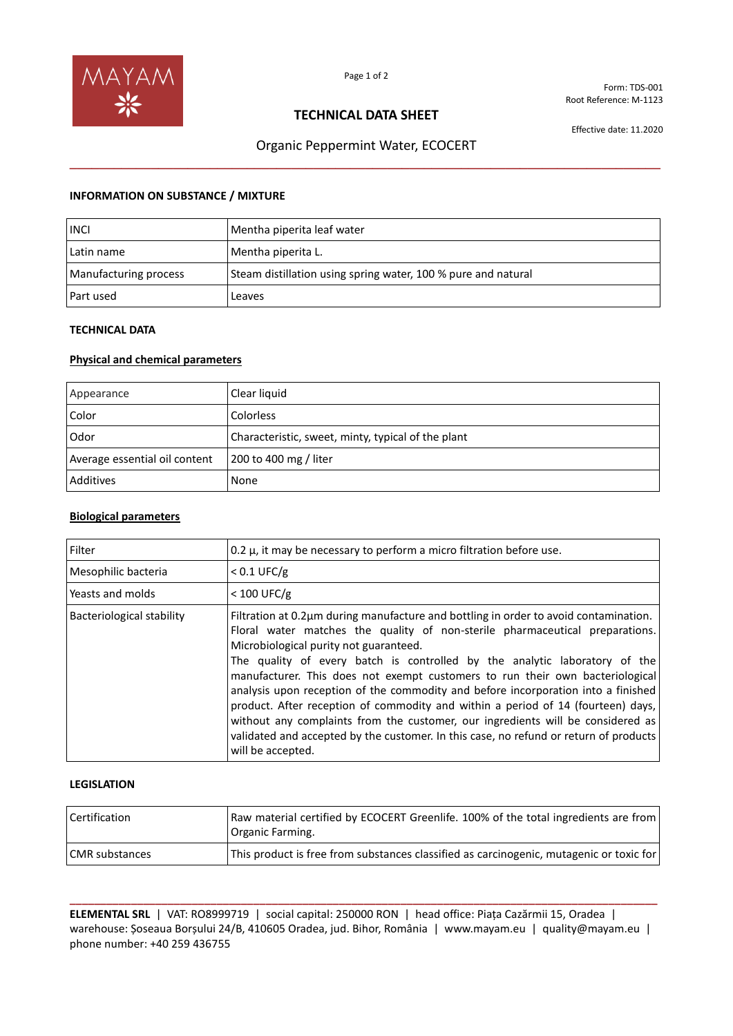

Form: TDS-001 Root Reference: M-1123

### **TECHNICAL DATA SHEET**

Effective date: 11.2020

# Organic Peppermint Water, ECOCERT **\_\_\_\_\_\_\_\_\_\_\_\_\_\_\_\_\_\_\_\_\_\_\_\_\_\_\_\_\_\_\_\_\_\_\_\_\_\_\_\_\_\_\_\_\_\_\_\_\_\_\_\_\_\_\_\_\_\_\_\_\_\_\_\_\_\_\_\_\_\_\_\_\_\_\_\_\_\_\_\_**

#### **INFORMATION ON SUBSTANCE / MIXTURE**

| <b>INCI</b>           | Mentha piperita leaf water                                    |
|-----------------------|---------------------------------------------------------------|
| Latin name            | Mentha piperita L.                                            |
| Manufacturing process | Steam distillation using spring water, 100 % pure and natural |
| Part used             | Leaves                                                        |

### **TECHNICAL DATA**

### **Physical and chemical parameters**

| Appearance                    | Clear liquid                                       |
|-------------------------------|----------------------------------------------------|
| Color                         | Colorless                                          |
| Odor                          | Characteristic, sweet, minty, typical of the plant |
| Average essential oil content | 200 to 400 mg / liter                              |
| Additives                     | None                                               |

#### **Biological parameters**

| Filter                           | 0.2 $\mu$ , it may be necessary to perform a micro filtration before use.                                                                                                                                                                                                                                                                                                                                                                                                                                                                                                                                                                                                                                                                               |
|----------------------------------|---------------------------------------------------------------------------------------------------------------------------------------------------------------------------------------------------------------------------------------------------------------------------------------------------------------------------------------------------------------------------------------------------------------------------------------------------------------------------------------------------------------------------------------------------------------------------------------------------------------------------------------------------------------------------------------------------------------------------------------------------------|
| Mesophilic bacteria              | $< 0.1$ UFC/g                                                                                                                                                                                                                                                                                                                                                                                                                                                                                                                                                                                                                                                                                                                                           |
| l Yeasts and molds               | $< 100$ UFC/g                                                                                                                                                                                                                                                                                                                                                                                                                                                                                                                                                                                                                                                                                                                                           |
| <b>Bacteriological stability</b> | Filtration at 0.2um during manufacture and bottling in order to avoid contamination.<br>Floral water matches the quality of non-sterile pharmaceutical preparations.<br>Microbiological purity not guaranteed.<br>The quality of every batch is controlled by the analytic laboratory of the<br>manufacturer. This does not exempt customers to run their own bacteriological<br>analysis upon reception of the commodity and before incorporation into a finished<br>product. After reception of commodity and within a period of 14 (fourteen) days,<br>without any complaints from the customer, our ingredients will be considered as<br>validated and accepted by the customer. In this case, no refund or return of products<br>will be accepted. |

#### **LEGISLATION**

| <b>Certification</b> | Raw material certified by ECOCERT Greenlife. 100% of the total ingredients are from<br>Organic Farming. |
|----------------------|---------------------------------------------------------------------------------------------------------|
| CMR substances       | This product is free from substances classified as carcinogenic, mutagenic or toxic for                 |

**\_\_\_\_\_\_\_\_\_\_\_\_\_\_\_\_\_\_\_\_\_\_\_\_\_\_\_\_\_\_\_\_\_\_\_\_\_\_\_\_\_\_\_\_\_\_\_\_\_\_\_\_\_\_\_\_\_\_\_\_\_\_\_\_\_\_\_\_\_\_\_\_\_\_\_\_\_\_\_\_\_\_\_\_\_\_\_\_\_\_\_\_\_\_\_\_ ELEMENTAL SRL** | VAT: RO8999719 | social capital: 250000 RON | head office: Piața Cazărmii 15, Oradea | warehouse: Șoseaua Borșului 24/B, 410605 Oradea, jud. Bihor, România | www.mayam.eu | quality@mayam.eu | phone number: +40 259 436755